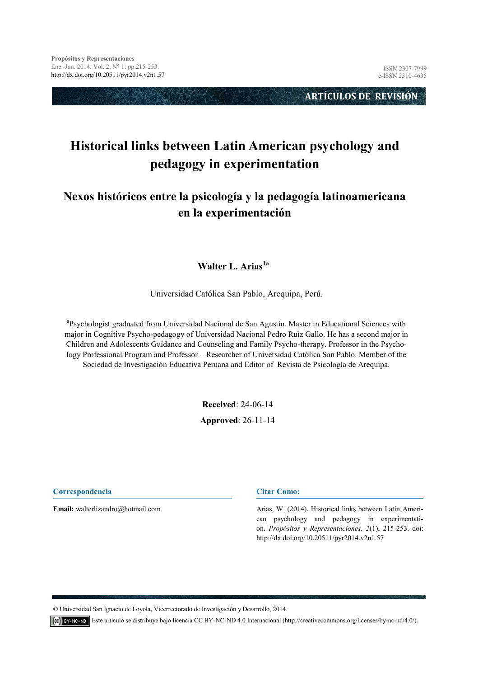**ARTÍCULOS DE REVISIÓN** 

# **Historical links between Latin American psychology and pedagogy in experimentation**

# **Nexos históricos entre la psicología y la pedagogía latinoamericana en la experimentación**

#### **Walter L. Arias1a**

Universidad Católica San Pablo, Arequipa, Perú.

<sup>a</sup>Psychologist graduated from Universidad Nacional de San Agustín. Master in Educational Sciences with major in Cognitive Psycho-pedagogy of Universidad Nacional Pedro Ruíz Gallo. He has a second major in Children and Adolescents Guidance and Counseling and Family Psycho-therapy. Professor in the Psychology Professional Program and Professor – Researcher of Universidad Católica San Pablo. Member of the Sociedad de Investigación Educativa Peruana and Editor of Revista de Psicología de Arequipa.

**Received**: 24-06-14

**Approved**: 26-11-14

**Correspondencia**

**Email:** walterlizandro@hotmail.com

#### **Citar Como:**

Arias, W. (2014). Historical links between Latin American psychology and pedagogy in experimentation. *Propósitos y Representaciones, 2*(1), 215-253. doi: http://dx.doi.org/10.20511/pyr2014.v2n1.57

**©** Universidad San Ignacio de Loyola, Vicerrectorado de Investigación y Desarrollo, 2014.

Este artículo se distribuye bajo licencia CC BY-NC-ND 4.0 Internacional (http://creativecommons.org/licenses/by-nc-nd/4.0/).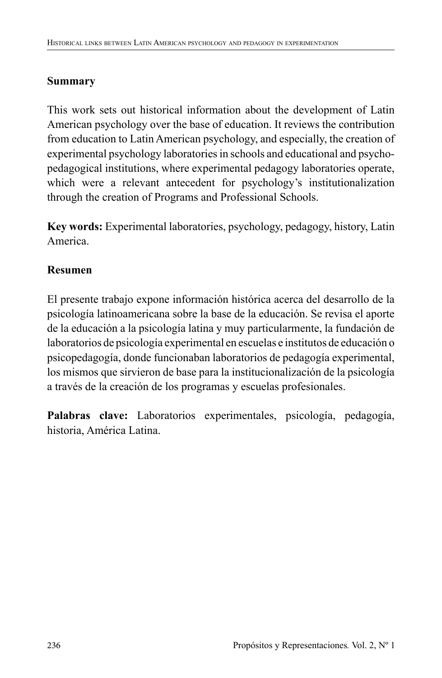# **Summary**

This work sets out historical information about the development of Latin American psychology over the base of education. It reviews the contribution from education to Latin American psychology, and especially, the creation of experimental psychology laboratories in schools and educational and psychopedagogical institutions, where experimental pedagogy laboratories operate, which were a relevant antecedent for psychology's institutionalization through the creation of Programs and Professional Schools.

**Key words:** Experimental laboratories, psychology, pedagogy, history, Latin America.

# **Resumen**

El presente trabajo expone información histórica acerca del desarrollo de la psicología latinoamericana sobre la base de la educación. Se revisa el aporte de la educación a la psicología latina y muy particularmente, la fundación de laboratorios de psicología experimental en escuelas e institutos de educación o psicopedagogía, donde funcionaban laboratorios de pedagogía experimental, los mismos que sirvieron de base para la institucionalización de la psicología a través de la creación de los programas y escuelas profesionales.

Palabras clave: Laboratorios experimentales, psicología, pedagogía, historia, América Latina.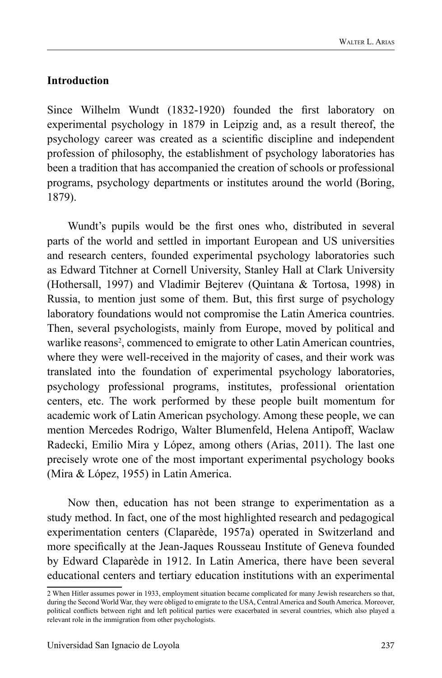### **Introduction**

Since Wilhelm Wundt (1832-1920) founded the first laboratory on experimental psychology in 1879 in Leipzig and, as a result thereof, the psychology career was created as a scientific discipline and independent profession of philosophy, the establishment of psychology laboratories has been a tradition that has accompanied the creation of schools or professional programs, psychology departments or institutes around the world (Boring, 1879).

Wundt's pupils would be the first ones who, distributed in several parts of the world and settled in important European and US universities and research centers, founded experimental psychology laboratories such as Edward Titchner at Cornell University, Stanley Hall at Clark University (Hothersall, 1997) and Vladimir Bejterev (Quintana & Tortosa, 1998) in Russia, to mention just some of them. But, this first surge of psychology laboratory foundations would not compromise the Latin America countries. Then, several psychologists, mainly from Europe, moved by political and warlike reasons<sup>2</sup>, commenced to emigrate to other Latin American countries, where they were well-received in the majority of cases, and their work was translated into the foundation of experimental psychology laboratories, psychology professional programs, institutes, professional orientation centers, etc. The work performed by these people built momentum for academic work of Latin American psychology. Among these people, we can mention Mercedes Rodrigo, Walter Blumenfeld, Helena Antipoff, Waclaw Radecki, Emilio Mira y López, among others (Arias, 2011). The last one precisely wrote one of the most important experimental psychology books (Mira & López, 1955) in Latin America.

Now then, education has not been strange to experimentation as a study method. In fact, one of the most highlighted research and pedagogical experimentation centers (Claparède, 1957a) operated in Switzerland and more specifically at the Jean-Jaques Rousseau Institute of Geneva founded by Edward Claparède in 1912. In Latin America, there have been several educational centers and tertiary education institutions with an experimental

<sup>2</sup> When Hitler assumes power in 1933, employment situation became complicated for many Jewish researchers so that, during the Second World War, they were obliged to emigrate to the USA, Central America and South America. Moreover, political conflicts between right and left political parties were exacerbated in several countries, which also played a relevant role in the immigration from other psychologists.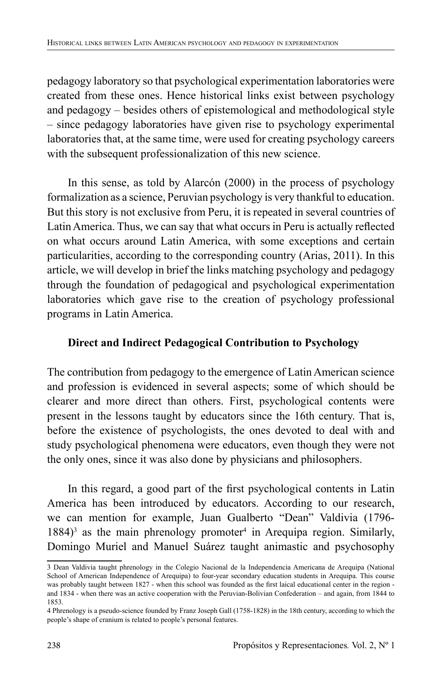pedagogy laboratory so that psychological experimentation laboratories were created from these ones. Hence historical links exist between psychology and pedagogy – besides others of epistemological and methodological style – since pedagogy laboratories have given rise to psychology experimental laboratories that, at the same time, were used for creating psychology careers with the subsequent professionalization of this new science.

In this sense, as told by Alarcón (2000) in the process of psychology formalization as a science, Peruvian psychology is very thankful to education. But this story is not exclusive from Peru, it is repeated in several countries of Latin America. Thus, we can say that what occurs in Peru is actually reflected on what occurs around Latin America, with some exceptions and certain particularities, according to the corresponding country (Arias, 2011). In this article, we will develop in brief the links matching psychology and pedagogy through the foundation of pedagogical and psychological experimentation laboratories which gave rise to the creation of psychology professional programs in Latin America.

# **Direct and Indirect Pedagogical Contribution to Psychology**

The contribution from pedagogy to the emergence of Latin American science and profession is evidenced in several aspects; some of which should be clearer and more direct than others. First, psychological contents were present in the lessons taught by educators since the 16th century. That is, before the existence of psychologists, the ones devoted to deal with and study psychological phenomena were educators, even though they were not the only ones, since it was also done by physicians and philosophers.

In this regard, a good part of the first psychological contents in Latin America has been introduced by educators. According to our research, we can mention for example, Juan Gualberto "Dean" Valdivia (1796-  $1884$ <sup>3</sup> as the main phrenology promoter<sup>4</sup> in Arequipa region. Similarly, Domingo Muriel and Manuel Suárez taught animastic and psychosophy

<sup>3</sup> Dean Valdivia taught phrenology in the Colegio Nacional de la Independencia Americana de Arequipa (National School of American Independence of Arequipa) to four-year secondary education students in Arequipa. This course was probably taught between 1827 - when this school was founded as the first laical educational center in the region and 1834 - when there was an active cooperation with the Peruvian-Bolivian Confederation – and again, from 1844 to 1853.

<sup>4</sup> Phrenology is a pseudo-science founded by Franz Joseph Gall (1758-1828) in the 18th century, according to which the people's shape of cranium is related to people's personal features.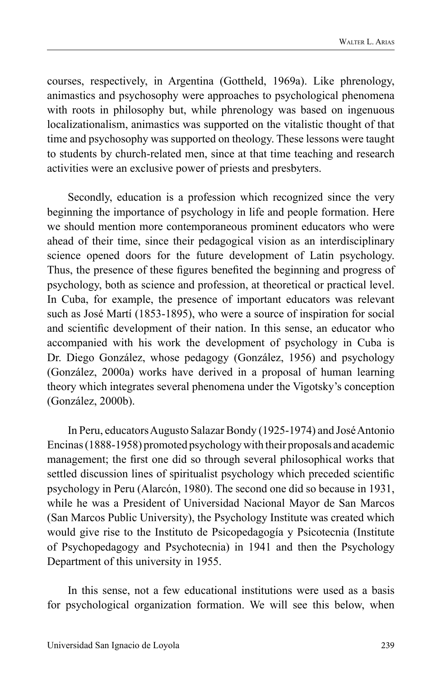courses, respectively, in Argentina (Gottheld, 1969a). Like phrenology, animastics and psychosophy were approaches to psychological phenomena with roots in philosophy but, while phrenology was based on ingenuous localizationalism, animastics was supported on the vitalistic thought of that time and psychosophy was supported on theology. These lessons were taught to students by church-related men, since at that time teaching and research activities were an exclusive power of priests and presbyters.

Secondly, education is a profession which recognized since the very beginning the importance of psychology in life and people formation. Here we should mention more contemporaneous prominent educators who were ahead of their time, since their pedagogical vision as an interdisciplinary science opened doors for the future development of Latin psychology. Thus, the presence of these figures benefited the beginning and progress of psychology, both as science and profession, at theoretical or practical level. In Cuba, for example, the presence of important educators was relevant such as José Martí (1853-1895), who were a source of inspiration for social and scientific development of their nation. In this sense, an educator who accompanied with his work the development of psychology in Cuba is Dr. Diego González, whose pedagogy (González, 1956) and psychology (González, 2000a) works have derived in a proposal of human learning theory which integrates several phenomena under the Vigotsky's conception (González, 2000b).

In Peru, educators Augusto Salazar Bondy (1925-1974) and José Antonio Encinas (1888-1958) promoted psychology with their proposals and academic management; the first one did so through several philosophical works that settled discussion lines of spiritualist psychology which preceded scientific psychology in Peru (Alarcón, 1980). The second one did so because in 1931, while he was a President of Universidad Nacional Mayor de San Marcos (San Marcos Public University), the Psychology Institute was created which would give rise to the Instituto de Psicopedagogía y Psicotecnia (Institute of Psychopedagogy and Psychotecnia) in 1941 and then the Psychology Department of this university in 1955.

In this sense, not a few educational institutions were used as a basis for psychological organization formation. We will see this below, when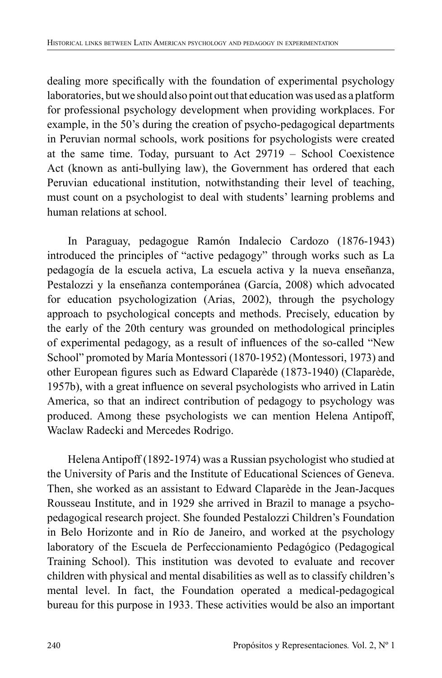dealing more specifically with the foundation of experimental psychology laboratories, but we should also point out that education was used as a platform for professional psychology development when providing workplaces. For example, in the 50's during the creation of psycho-pedagogical departments in Peruvian normal schools, work positions for psychologists were created at the same time. Today, pursuant to Act 29719 – School Coexistence Act (known as anti-bullying law), the Government has ordered that each Peruvian educational institution, notwithstanding their level of teaching, must count on a psychologist to deal with students' learning problems and human relations at school.

In Paraguay, pedagogue Ramón Indalecio Cardozo (1876-1943) introduced the principles of "active pedagogy" through works such as La pedagogía de la escuela activa, La escuela activa y la nueva enseñanza, Pestalozzi y la enseñanza contemporánea (García, 2008) which advocated for education psychologization (Arias, 2002), through the psychology approach to psychological concepts and methods. Precisely, education by the early of the 20th century was grounded on methodological principles of experimental pedagogy, as a result of influences of the so-called "New School" promoted by María Montessori (1870-1952) (Montessori, 1973) and other European figures such as Edward Claparède (1873-1940) (Claparède, 1957b), with a great influence on several psychologists who arrived in Latin America, so that an indirect contribution of pedagogy to psychology was produced. Among these psychologists we can mention Helena Antipoff, Waclaw Radecki and Mercedes Rodrigo.

Helena Antipoff (1892-1974) was a Russian psychologist who studied at the University of Paris and the Institute of Educational Sciences of Geneva. Then, she worked as an assistant to Edward Claparède in the Jean-Jacques Rousseau Institute, and in 1929 she arrived in Brazil to manage a psychopedagogical research project. She founded Pestalozzi Children's Foundation in Belo Horizonte and in Río de Janeiro, and worked at the psychology laboratory of the Escuela de Perfeccionamiento Pedagógico (Pedagogical Training School). This institution was devoted to evaluate and recover children with physical and mental disabilities as well as to classify children's mental level. In fact, the Foundation operated a medical-pedagogical bureau for this purpose in 1933. These activities would be also an important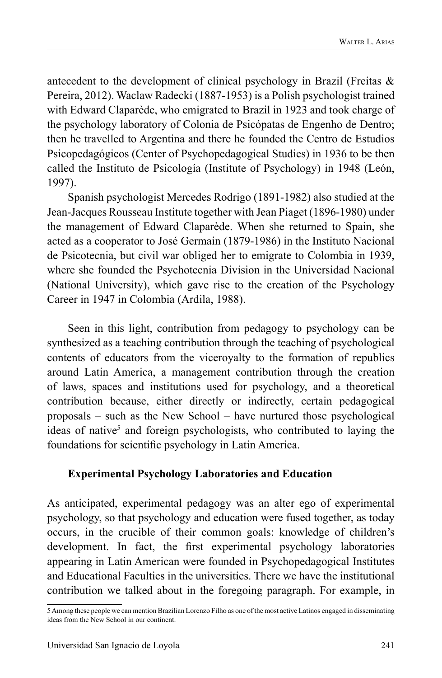antecedent to the development of clinical psychology in Brazil (Freitas & Pereira, 2012). Waclaw Radecki (1887-1953) is a Polish psychologist trained with Edward Claparède, who emigrated to Brazil in 1923 and took charge of the psychology laboratory of Colonia de Psicópatas de Engenho de Dentro; then he travelled to Argentina and there he founded the Centro de Estudios Psicopedagógicos (Center of Psychopedagogical Studies) in 1936 to be then called the Instituto de Psicología (Institute of Psychology) in 1948 (León, 1997).

Spanish psychologist Mercedes Rodrigo (1891-1982) also studied at the Jean-Jacques Rousseau Institute together with Jean Piaget (1896-1980) under the management of Edward Claparède. When she returned to Spain, she acted as a cooperator to José Germain (1879-1986) in the Instituto Nacional de Psicotecnia, but civil war obliged her to emigrate to Colombia in 1939, where she founded the Psychotecnia Division in the Universidad Nacional (National University), which gave rise to the creation of the Psychology Career in 1947 in Colombia (Ardila, 1988).

Seen in this light, contribution from pedagogy to psychology can be synthesized as a teaching contribution through the teaching of psychological contents of educators from the viceroyalty to the formation of republics around Latin America, a management contribution through the creation of laws, spaces and institutions used for psychology, and a theoretical contribution because, either directly or indirectly, certain pedagogical proposals – such as the New School – have nurtured those psychological ideas of native<sup>5</sup> and foreign psychologists, who contributed to laying the foundations for scientific psychology in Latin America.

### **Experimental Psychology Laboratories and Education**

As anticipated, experimental pedagogy was an alter ego of experimental psychology, so that psychology and education were fused together, as today occurs, in the crucible of their common goals: knowledge of children's development. In fact, the first experimental psychology laboratories appearing in Latin American were founded in Psychopedagogical Institutes and Educational Faculties in the universities. There we have the institutional contribution we talked about in the foregoing paragraph. For example, in

<sup>5</sup> Among these people we can mention Brazilian Lorenzo Filho as one of the most active Latinos engaged in disseminating ideas from the New School in our continent.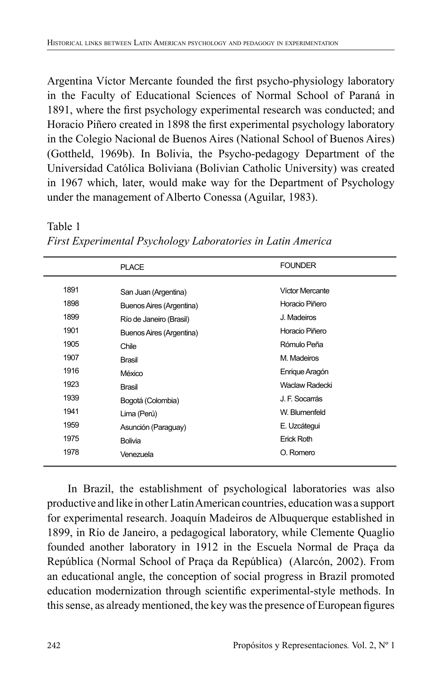Argentina Víctor Mercante founded the first psycho-physiology laboratory in the Faculty of Educational Sciences of Normal School of Paraná in 1891, where the first psychology experimental research was conducted; and Horacio Piñero created in 1898 the first experimental psychology laboratory in the Colegio Nacional de Buenos Aires (National School of Buenos Aires) (Gottheld, 1969b). In Bolivia, the Psycho-pedagogy Department of the Universidad Católica Boliviana (Bolivian Catholic University) was created in 1967 which, later, would make way for the Department of Psychology under the management of Alberto Conessa (Aguilar, 1983).

1891 1898 1899 1901 1905 1907 1916 1923 1939 1941 1959 1975 1978 PLAC<sub>E</sub> San Juan (Argentina) Buenos Aires (Argentina) Río de Janeiro (Brasil) Buenos Aires (Argentina) **Chile** Brasil México Brasil Bogotá (Colombia) Lima (Perú) Asunción (Paraguay) Bolivia Venezuela FOUNDER Víctor Mercante Horacio Piñero J. Madeiros Horacio Piñero Rómulo Peña M. Madeiros Enrique Aragón Waclaw Radecki J. F. Socarrás W. Blumenfeld E. Uzcátegui Erick Roth O. Romero

*First Experimental Psychology Laboratories in Latin America* 

In Brazil, the establishment of psychological laboratories was also productive and like in other Latin American countries, education was a support for experimental research. Joaquín Madeiros de Albuquerque established in 1899, in Río de Janeiro, a pedagogical laboratory, while Clemente Quaglio founded another laboratory in 1912 in the Escuela Normal de Praça da República (Normal School of Praça da República) (Alarcón, 2002). From an educational angle, the conception of social progress in Brazil promoted education modernization through scientific experimental-style methods. In this sense, as already mentioned, the key was the presence of European figures

Table 1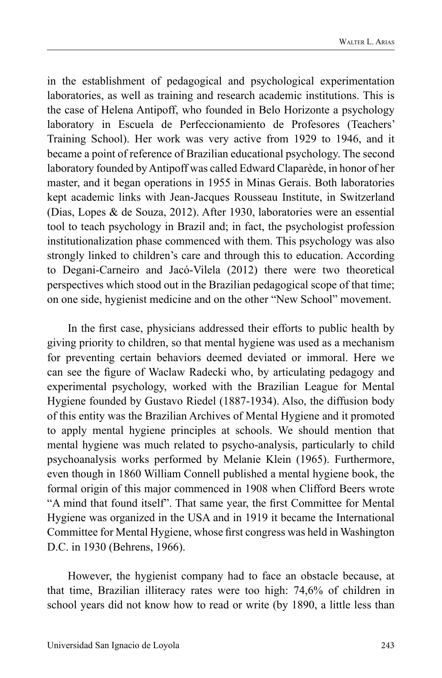in the establishment of pedagogical and psychological experimentation laboratories, as well as training and research academic institutions. This is the case of Helena Antipoff, who founded in Belo Horizonte a psychology laboratory in Escuela de Perfeccionamiento de Profesores (Teachers' Training School). Her work was very active from 1929 to 1946, and it became a point of reference of Brazilian educational psychology. The second laboratory founded by Antipoff was called Edward Claparède, in honor of her master, and it began operations in 1955 in Minas Gerais. Both laboratories kept academic links with Jean-Jacques Rousseau Institute, in Switzerland (Dias, Lopes & de Souza, 2012). After 1930, laboratories were an essential tool to teach psychology in Brazil and; in fact, the psychologist profession institutionalization phase commenced with them. This psychology was also strongly linked to children's care and through this to education. According to Degani-Carneiro and Jacó-Vilela (2012) there were two theoretical perspectives which stood out in the Brazilian pedagogical scope of that time; on one side, hygienist medicine and on the other "New School" movement.

In the first case, physicians addressed their efforts to public health by giving priority to children, so that mental hygiene was used as a mechanism for preventing certain behaviors deemed deviated or immoral. Here we can see the figure of Waclaw Radecki who, by articulating pedagogy and experimental psychology, worked with the Brazilian League for Mental Hygiene founded by Gustavo Riedel (1887-1934). Also, the diffusion body of this entity was the Brazilian Archives of Mental Hygiene and it promoted to apply mental hygiene principles at schools. We should mention that mental hygiene was much related to psycho-analysis, particularly to child psychoanalysis works performed by Melanie Klein (1965). Furthermore, even though in 1860 William Connell published a mental hygiene book, the formal origin of this major commenced in 1908 when Clifford Beers wrote "A mind that found itself". That same year, the first Committee for Mental Hygiene was organized in the USA and in 1919 it became the International Committee for Mental Hygiene, whose first congress was held in Washington D.C. in 1930 (Behrens, 1966).

However, the hygienist company had to face an obstacle because, at that time, Brazilian illiteracy rates were too high: 74,6% of children in school years did not know how to read or write (by 1890, a little less than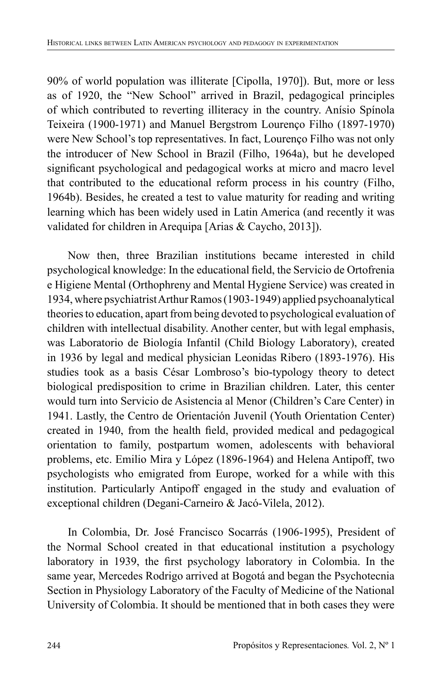90% of world population was illiterate [Cipolla, 1970]). But, more or less as of 1920, the "New School" arrived in Brazil, pedagogical principles of which contributed to reverting illiteracy in the country. Anísio Spínola Teixeira (1900-1971) and Manuel Bergstrom Lourenço Filho (1897-1970) were New School's top representatives. In fact, Lourenço Filho was not only the introducer of New School in Brazil (Filho, 1964a), but he developed significant psychological and pedagogical works at micro and macro level that contributed to the educational reform process in his country (Filho, 1964b). Besides, he created a test to value maturity for reading and writing learning which has been widely used in Latin America (and recently it was validated for children in Arequipa [Arias & Caycho, 2013]).

Now then, three Brazilian institutions became interested in child psychological knowledge: In the educational field, the Servicio de Ortofrenia e Higiene Mental (Orthophreny and Mental Hygiene Service) was created in 1934, where psychiatrist Arthur Ramos (1903-1949) applied psychoanalytical theories to education, apart from being devoted to psychological evaluation of children with intellectual disability. Another center, but with legal emphasis, was Laboratorio de Biología Infantil (Child Biology Laboratory), created in 1936 by legal and medical physician Leonidas Ribero (1893-1976). His studies took as a basis César Lombroso's bio-typology theory to detect biological predisposition to crime in Brazilian children. Later, this center would turn into Servicio de Asistencia al Menor (Children's Care Center) in 1941. Lastly, the Centro de Orientación Juvenil (Youth Orientation Center) created in 1940, from the health field, provided medical and pedagogical orientation to family, postpartum women, adolescents with behavioral problems, etc. Emilio Mira y López (1896-1964) and Helena Antipoff, two psychologists who emigrated from Europe, worked for a while with this institution. Particularly Antipoff engaged in the study and evaluation of exceptional children (Degani-Carneiro & Jacó-Vilela, 2012).

In Colombia, Dr. José Francisco Socarrás (1906-1995), President of the Normal School created in that educational institution a psychology laboratory in 1939, the first psychology laboratory in Colombia. In the same year, Mercedes Rodrigo arrived at Bogotá and began the Psychotecnia Section in Physiology Laboratory of the Faculty of Medicine of the National University of Colombia. It should be mentioned that in both cases they were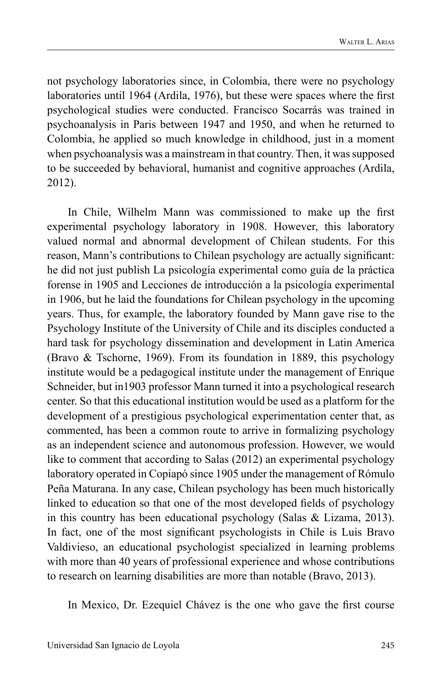not psychology laboratories since, in Colombia, there were no psychology laboratories until 1964 (Ardila, 1976), but these were spaces where the first psychological studies were conducted. Francisco Socarrás was trained in psychoanalysis in Paris between 1947 and 1950, and when he returned to Colombia, he applied so much knowledge in childhood, just in a moment when psychoanalysis was a mainstream in that country. Then, it was supposed to be succeeded by behavioral, humanist and cognitive approaches (Ardila, 2012).

In Chile, Wilhelm Mann was commissioned to make up the first experimental psychology laboratory in 1908. However, this laboratory valued normal and abnormal development of Chilean students. For this reason, Mann's contributions to Chilean psychology are actually significant: he did not just publish La psicología experimental como guía de la práctica forense in 1905 and Lecciones de introducción a la psicología experimental in 1906, but he laid the foundations for Chilean psychology in the upcoming years. Thus, for example, the laboratory founded by Mann gave rise to the Psychology Institute of the University of Chile and its disciples conducted a hard task for psychology dissemination and development in Latin America (Bravo & Tschorne, 1969). From its foundation in 1889, this psychology institute would be a pedagogical institute under the management of Enrique Schneider, but in1903 professor Mann turned it into a psychological research center. So that this educational institution would be used as a platform for the development of a prestigious psychological experimentation center that, as commented, has been a common route to arrive in formalizing psychology as an independent science and autonomous profession. However, we would like to comment that according to Salas (2012) an experimental psychology laboratory operated in Copiapó since 1905 under the management of Rómulo Peña Maturana. In any case, Chilean psychology has been much historically linked to education so that one of the most developed fields of psychology in this country has been educational psychology (Salas & Lizama, 2013). In fact, one of the most significant psychologists in Chile is Luis Bravo Valdivieso, an educational psychologist specialized in learning problems with more than 40 years of professional experience and whose contributions to research on learning disabilities are more than notable (Bravo, 2013).

In Mexico, Dr. Ezequiel Chávez is the one who gave the first course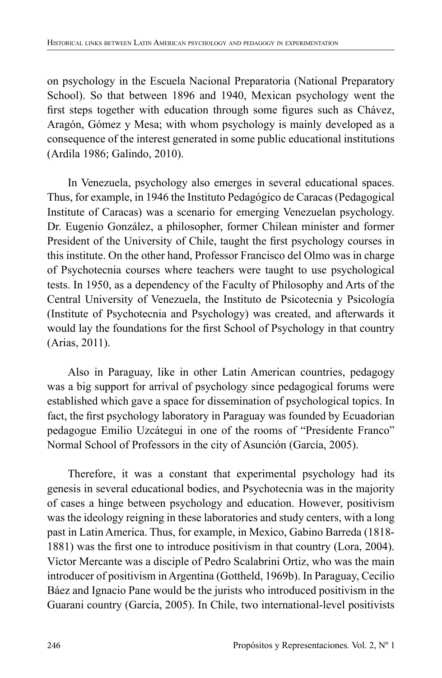on psychology in the Escuela Nacional Preparatoria (National Preparatory School). So that between 1896 and 1940, Mexican psychology went the first steps together with education through some figures such as Chávez, Aragón, Gómez y Mesa; with whom psychology is mainly developed as a consequence of the interest generated in some public educational institutions (Ardila 1986; Galindo, 2010).

In Venezuela, psychology also emerges in several educational spaces. Thus, for example, in 1946 the Instituto Pedagógico de Caracas (Pedagogical Institute of Caracas) was a scenario for emerging Venezuelan psychology. Dr. Eugenio González, a philosopher, former Chilean minister and former President of the University of Chile, taught the first psychology courses in this institute. On the other hand, Professor Francisco del Olmo was in charge of Psychotecnia courses where teachers were taught to use psychological tests. In 1950, as a dependency of the Faculty of Philosophy and Arts of the Central University of Venezuela, the Instituto de Psicotecnia y Psicología (Institute of Psychotecnia and Psychology) was created, and afterwards it would lay the foundations for the first School of Psychology in that country (Arias, 2011).

Also in Paraguay, like in other Latin American countries, pedagogy was a big support for arrival of psychology since pedagogical forums were established which gave a space for dissemination of psychological topics. In fact, the first psychology laboratory in Paraguay was founded by Ecuadorian pedagogue Emilio Uzcátegui in one of the rooms of "Presidente Franco" Normal School of Professors in the city of Asunción (García, 2005).

Therefore, it was a constant that experimental psychology had its genesis in several educational bodies, and Psychotecnia was in the majority of cases a hinge between psychology and education. However, positivism was the ideology reigning in these laboratories and study centers, with a long past in Latin America. Thus, for example, in Mexico, Gabino Barreda (1818- 1881) was the first one to introduce positivism in that country (Lora, 2004). Víctor Mercante was a disciple of Pedro Scalabrini Ortiz, who was the main introducer of positivism in Argentina (Gottheld, 1969b). In Paraguay, Cecilio Báez and Ignacio Pane would be the jurists who introduced positivism in the Guarani country (García, 2005). In Chile, two international-level positivists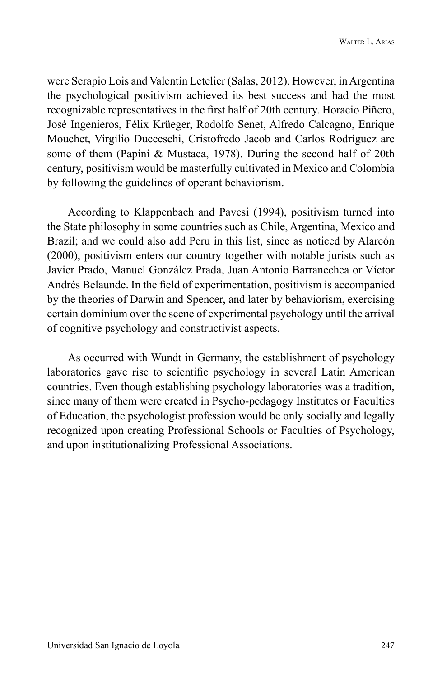were Serapio Lois and Valentín Letelier (Salas, 2012). However, in Argentina the psychological positivism achieved its best success and had the most recognizable representatives in the first half of 20th century. Horacio Piñero, José Ingenieros, Félix Krüeger, Rodolfo Senet, Alfredo Calcagno, Enrique Mouchet, Virgilio Ducceschi, Cristofredo Jacob and Carlos Rodríguez are some of them (Papini & Mustaca, 1978). During the second half of 20th century, positivism would be masterfully cultivated in Mexico and Colombia by following the guidelines of operant behaviorism.

According to Klappenbach and Pavesi (1994), positivism turned into the State philosophy in some countries such as Chile, Argentina, Mexico and Brazil; and we could also add Peru in this list, since as noticed by Alarcón (2000), positivism enters our country together with notable jurists such as Javier Prado, Manuel González Prada, Juan Antonio Barranechea or Víctor Andrés Belaunde. In the field of experimentation, positivism is accompanied by the theories of Darwin and Spencer, and later by behaviorism, exercising certain dominium over the scene of experimental psychology until the arrival of cognitive psychology and constructivist aspects.

As occurred with Wundt in Germany, the establishment of psychology laboratories gave rise to scientific psychology in several Latin American countries. Even though establishing psychology laboratories was a tradition, since many of them were created in Psycho-pedagogy Institutes or Faculties of Education, the psychologist profession would be only socially and legally recognized upon creating Professional Schools or Faculties of Psychology, and upon institutionalizing Professional Associations.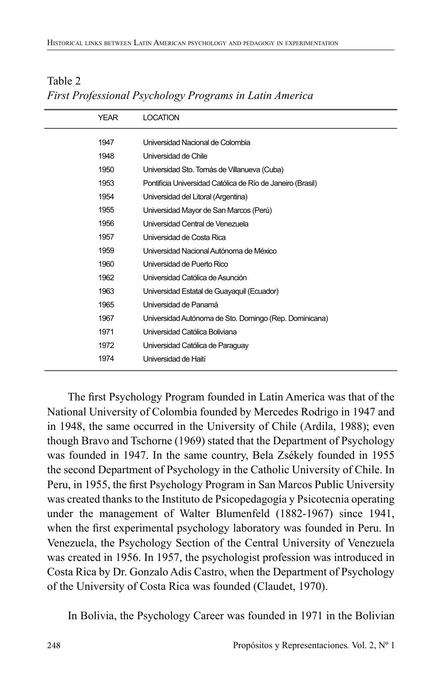| YEAR | <b>LOCATION</b>                                            |
|------|------------------------------------------------------------|
| 1947 | Universidad Nacional de Colombia                           |
| 1948 | Universidad de Chile                                       |
| 1950 | Universidad Sto. Tomás de Villanueva (Cuba)                |
| 1953 | Pontificia Universidad Católica de Río de Janeiro (Brasil) |
| 1954 | Universidad del Litoral (Argentina)                        |
| 1955 | Universidad Mayor de San Marcos (Perú)                     |
| 1956 | Universidad Central de Venezuela                           |
| 1957 | Universidad de Costa Rica                                  |
| 1959 | Universidad Nacional Autónoma de México                    |
| 1960 | Universidad de Puerto Rico                                 |
| 1962 | Universidad Católica de Asunción                           |
| 1963 | Universidad Estatal de Guayaquil (Ecuador)                 |
| 1965 | Universidad de Panamá                                      |
| 1967 | Universidad Autónoma de Sto. Domingo (Rep. Dominicana)     |
| 1971 | Universidad Católica Boliviana                             |
| 1972 | Universidad Católica de Paraguay                           |
| 1974 | Universidad de Haití                                       |
|      |                                                            |

# Table 2 *First Professional Psychology Programs in Latin America*

The first Psychology Program founded in Latin America was that of the National University of Colombia founded by Mercedes Rodrigo in 1947 and in 1948, the same occurred in the University of Chile (Ardila, 1988); even though Bravo and Tschorne (1969) stated that the Department of Psychology was founded in 1947. In the same country, Bela Zsékely founded in 1955 the second Department of Psychology in the Catholic University of Chile. In Peru, in 1955, the first Psychology Program in San Marcos Public University was created thanks to the Instituto de Psicopedagogía y Psicotecnia operating under the management of Walter Blumenfeld (1882-1967) since 1941, when the first experimental psychology laboratory was founded in Peru. In Venezuela, the Psychology Section of the Central University of Venezuela was created in 1956. In 1957, the psychologist profession was introduced in Costa Rica by Dr. Gonzalo Adis Castro, when the Department of Psychology of the University of Costa Rica was founded (Claudet, 1970).

In Bolivia, the Psychology Career was founded in 1971 in the Bolivian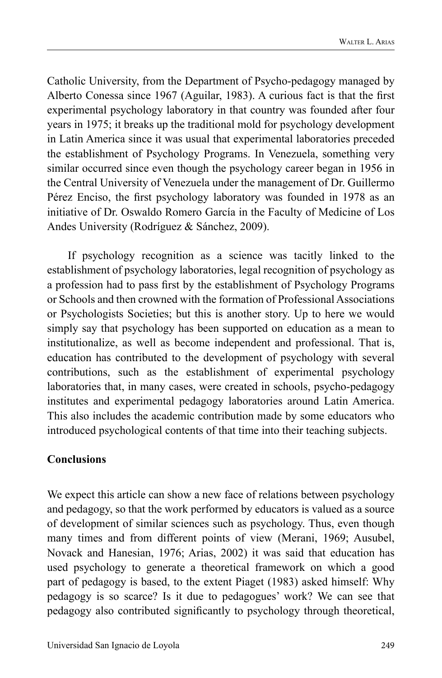Catholic University, from the Department of Psycho-pedagogy managed by Alberto Conessa since 1967 (Aguilar, 1983). A curious fact is that the first experimental psychology laboratory in that country was founded after four years in 1975; it breaks up the traditional mold for psychology development in Latin America since it was usual that experimental laboratories preceded the establishment of Psychology Programs. In Venezuela, something very similar occurred since even though the psychology career began in 1956 in the Central University of Venezuela under the management of Dr. Guillermo Pérez Enciso, the first psychology laboratory was founded in 1978 as an initiative of Dr. Oswaldo Romero García in the Faculty of Medicine of Los Andes University (Rodríguez & Sánchez, 2009).

If psychology recognition as a science was tacitly linked to the establishment of psychology laboratories, legal recognition of psychology as a profession had to pass first by the establishment of Psychology Programs or Schools and then crowned with the formation of Professional Associations or Psychologists Societies; but this is another story. Up to here we would simply say that psychology has been supported on education as a mean to institutionalize, as well as become independent and professional. That is, education has contributed to the development of psychology with several contributions, such as the establishment of experimental psychology laboratories that, in many cases, were created in schools, psycho-pedagogy institutes and experimental pedagogy laboratories around Latin America. This also includes the academic contribution made by some educators who introduced psychological contents of that time into their teaching subjects.

# **Conclusions**

We expect this article can show a new face of relations between psychology and pedagogy, so that the work performed by educators is valued as a source of development of similar sciences such as psychology. Thus, even though many times and from different points of view (Merani, 1969; Ausubel, Novack and Hanesian, 1976; Arias, 2002) it was said that education has used psychology to generate a theoretical framework on which a good part of pedagogy is based, to the extent Piaget (1983) asked himself: Why pedagogy is so scarce? Is it due to pedagogues' work? We can see that pedagogy also contributed significantly to psychology through theoretical,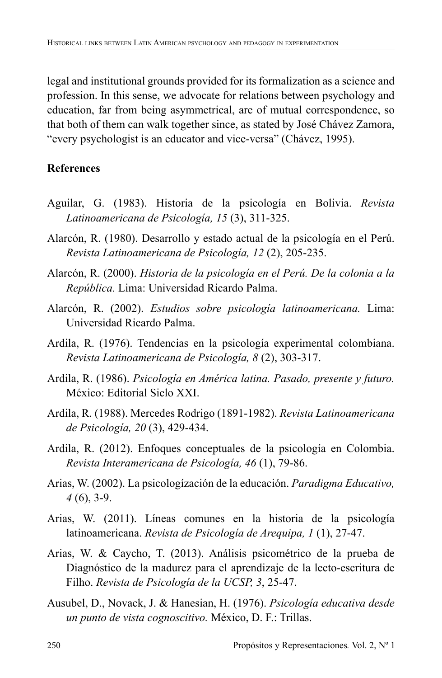legal and institutional grounds provided for its formalization as a science and profession. In this sense, we advocate for relations between psychology and education, far from being asymmetrical, are of mutual correspondence, so that both of them can walk together since, as stated by José Chávez Zamora, "every psychologist is an educator and vice-versa" (Chávez, 1995).

# **References**

- Aguilar, G. (1983). Historia de la psicología en Bolivia. *Revista Latinoamericana de Psicología, 15* (3), 311-325.
- Alarcón, R. (1980). Desarrollo y estado actual de la psicología en el Perú. *Revista Latinoamericana de Psicología, 12* (2), 205-235.
- Alarcón, R. (2000). *Historia de la psicología en el Perú. De la colonia a la República.* Lima: Universidad Ricardo Palma.
- Alarcón, R. (2002). *Estudios sobre psicología latinoamericana.* Lima: Universidad Ricardo Palma.
- Ardila, R. (1976). Tendencias en la psicología experimental colombiana. *Revista Latinoamericana de Psicología, 8* (2), 303-317.
- Ardila, R. (1986). *Psicología en América latina. Pasado, presente y futuro.*  México: Editorial Siclo XXI.
- Ardila, R. (1988). Mercedes Rodrigo (1891-1982). *Revista Latinoamericana de Psicología, 20* (3), 429-434.
- Ardila, R. (2012). Enfoques conceptuales de la psicología en Colombia. *Revista Interamericana de Psicología, 46* (1), 79-86.
- Arias, W. (2002). La psicologízación de la educación. *Paradigma Educativo, 4* (6), 3-9.
- Arias, W. (2011). Líneas comunes en la historia de la psicología latinoamericana. *Revista de Psicología de Arequipa, 1* (1), 27-47.
- Arias, W. & Caycho, T. (2013). Análisis psicométrico de la prueba de Diagnóstico de la madurez para el aprendizaje de la lecto-escritura de Filho. *Revista de Psicología de la UCSP, 3*, 25-47.
- Ausubel, D., Novack, J. & Hanesian, H. (1976). *Psicología educativa desde un punto de vista cognoscitivo.* México, D. F.: Trillas.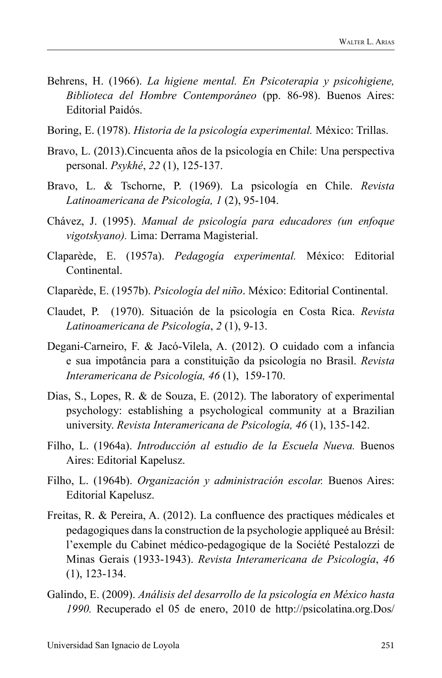- Behrens, H. (1966). *La higiene mental. En Psicoterapia y psicohigiene, Biblioteca del Hombre Contemporáneo* (pp. 86-98). Buenos Aires: Editorial Paidós.
- Boring, E. (1978). *Historia de la psicología experimental.* México: Trillas.
- Bravo, L. (2013).Cincuenta años de la psicología en Chile: Una perspectiva personal. *Psykhé*, *22* (1), 125-137.
- Bravo, L. & Tschorne, P. (1969). La psicología en Chile. *Revista Latinoamericana de Psicología, 1* (2), 95-104.
- Chávez, J. (1995). *Manual de psicología para educadores (un enfoque vigotskyano).* Lima: Derrama Magisterial.
- Claparède, E. (1957a). *Pedagogía experimental.* México: Editorial Continental.
- Claparède, E. (1957b). *Psicología del niño*. México: Editorial Continental.
- Claudet, P. (1970). Situación de la psicología en Costa Rica. *Revista Latinoamericana de Psicología*, *2* (1), 9-13.
- Degani-Carneiro, F. & Jacó-Vilela, A. (2012). O cuidado com a infancia e sua impotância para a constituição da psicología no Brasil. *Revista Interamericana de Psicología, 46* (1), 159-170.
- Dias, S., Lopes, R. & de Souza, E. (2012). The laboratory of experimental psychology: establishing a psychological community at a Brazilian university. *Revista Interamericana de Psicología, 46* (1), 135-142.
- Filho, L. (1964a). *Introducción al estudio de la Escuela Nueva.* Buenos Aires: Editorial Kapelusz.
- Filho, L. (1964b). *Organización y administración escolar.* Buenos Aires: Editorial Kapelusz.
- Freitas, R. & Pereira, A. (2012). La confluence des practiques médicales et pedagogiques dans la construction de la psychologie appliqueé au Brésil: l'exemple du Cabinet médico-pedagogique de la Société Pestalozzi de Minas Gerais (1933-1943). *Revista Interamericana de Psicología*, *46*  (1), 123-134.
- Galindo, E. (2009). *Análisis del desarrollo de la psicología en México hasta 1990.* Recuperado el 05 de enero, 2010 de http://psicolatina.org.Dos/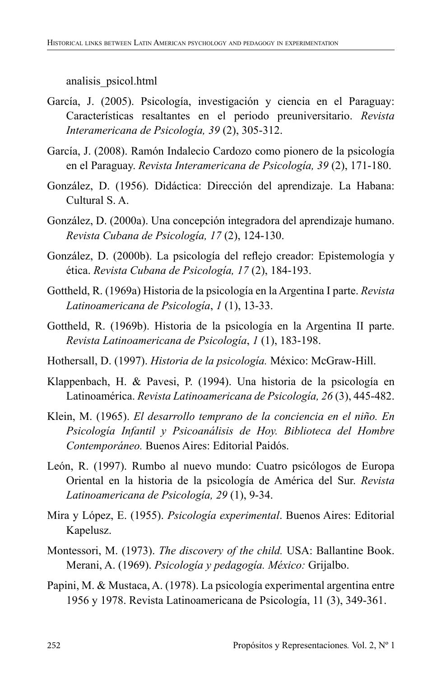analisis\_psicol.html

- García, J. (2005). Psicología, investigación y ciencia en el Paraguay: Características resaltantes en el periodo preuniversitario. *Revista Interamericana de Psicología, 39* (2), 305-312.
- García, J. (2008). Ramón Indalecio Cardozo como pionero de la psicología en el Paraguay. *Revista Interamericana de Psicología, 39* (2), 171-180.
- González, D. (1956). Didáctica: Dirección del aprendizaje. La Habana: Cultural S. A.
- González, D. (2000a). Una concepción integradora del aprendizaje humano. *Revista Cubana de Psicología, 17* (2), 124-130.
- González, D. (2000b). La psicología del reflejo creador: Epistemología y ética. *Revista Cubana de Psicología, 17* (2), 184-193.
- Gottheld, R. (1969a) Historia de la psicología en la Argentina I parte. *Revista Latinoamericana de Psicología*, *1* (1), 13-33.
- Gottheld, R. (1969b). Historia de la psicología en la Argentina II parte. *Revista Latinoamericana de Psicología*, *1* (1), 183-198.
- Hothersall, D. (1997). *Historia de la psicología.* México: McGraw-Hill.
- Klappenbach, H. & Pavesi, P. (1994). Una historia de la psicología en Latinoamérica. *Revista Latinoamericana de Psicología, 26* (3), 445-482.
- Klein, M. (1965). *El desarrollo temprano de la conciencia en el niño. En Psicología Infantil y Psicoanálisis de Hoy. Biblioteca del Hombre Contemporáneo.* Buenos Aires: Editorial Paidós.
- León, R. (1997). Rumbo al nuevo mundo: Cuatro psicólogos de Europa Oriental en la historia de la psicología de América del Sur. *Revista Latinoamericana de Psicología, 29* (1), 9-34.
- Mira y López, E. (1955). *Psicología experimental*. Buenos Aires: Editorial Kapelusz.
- Montessori, M. (1973). *The discovery of the child.* USA: Ballantine Book. Merani, A. (1969). *Psicología y pedagogía. México:* Grijalbo.
- Papini, M. & Mustaca, A. (1978). La psicología experimental argentina entre 1956 y 1978. Revista Latinoamericana de Psicología, 11 (3), 349-361.